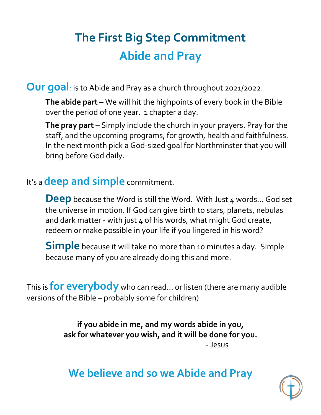# **The First Big Step Commitment Abide and Pray**

**Our goal**: is to Abide and Pray as a church throughout 2021/2022.

**The abide part** – We will hit the highpoints of every book in the Bible over the period of one year. 1 chapter a day.

**The pray part –** Simply include the church in your prayers. Pray for the staff, and the upcoming programs, for growth, health and faithfulness. In the next month pick a God-sized goal for Northminster that you will bring before God daily.

#### It's a **deep and simple** commitment.

**Deep** because the Word is still the Word. With Just 4 words... God set the universe in motion. If God can give birth to stars, planets, nebulas and dark matter - with just 4 of his words, what might God create, redeem or make possible in your life if you lingered in his word?

**Simple** because it will take no more than 10 minutes a day. Simple because many of you are already doing this and more.

This is **for everybody** who can read… or listen (there are many audible versions of the Bible – probably some for children)

> **if you abide in me, and my words abide in you, ask for whatever you wish, and it will be done for you.** - Jesus

## **We believe and so we Abide and Pray**

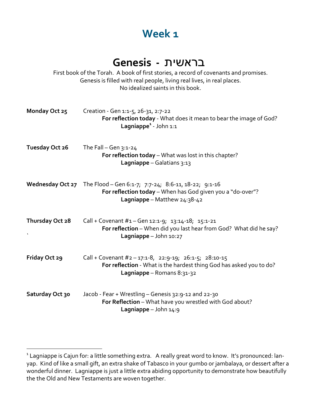#### **Week 1**

#### תישארב **- Genesis**

First book of the Torah. A book of first stories, a record of covenants and promises. Genesis is filled with real people, living real lives, in real places. No idealized saints in this book.

| Monday Oct 25                  | Creation - Gen 1:1-5, 26-31, 2:7-22<br>For reflection today - What does it mean to bear the image of God?<br>Lagniappe <sup>1</sup> - John 1:1                      |
|--------------------------------|---------------------------------------------------------------------------------------------------------------------------------------------------------------------|
| Tuesday Oct 26                 | The Fall $-$ Gen $3:1-24$<br>For reflection today - What was lost in this chapter?<br>Lagniappe - Galatians 3:13                                                    |
|                                | Wednesday Oct 27 The Flood - Gen 6:1-7; 7:7-24; 8:6-11, 18-22; 9:1-16<br>For reflection today - When has God given you a "do-over"?<br>Lagniappe - Matthew 24:38-42 |
| Thursday Oct 28<br>$\mathbf v$ | Call + Covenant #1 - Gen 12:1-9; 13:14-18; 15:1-21<br>For reflection - When did you last hear from God? What did he say?<br>Lagniappe $-$ John 10:27                |
| <b>Friday Oct 29</b>           | Call + Covenant #2 - 17:1-8, 22:9-19; 26:1-5; 28:10-15<br>For reflection - What is the hardest thing God has asked you to do?<br>Lagniappe - Romans 8:31-32         |
| Saturday Oct 30                | Jacob - Fear + Wrestling - Genesis 32:9-12 and 22-30<br>For Reflection - What have you wrestled with God about?<br>Lagniappe - John 14:9                            |

<sup>1</sup> Lagniappe is Cajun for: a little something extra. A really great word to know. It's pronounced: lanyap. Kind of like a small gift, an extra shake of Tabasco in your gumbo or jambalaya, or dessert after a wonderful dinner. Lagniappe is just a little extra abiding opportunity to demonstrate how beautifully the the Old and New Testaments are woven together.